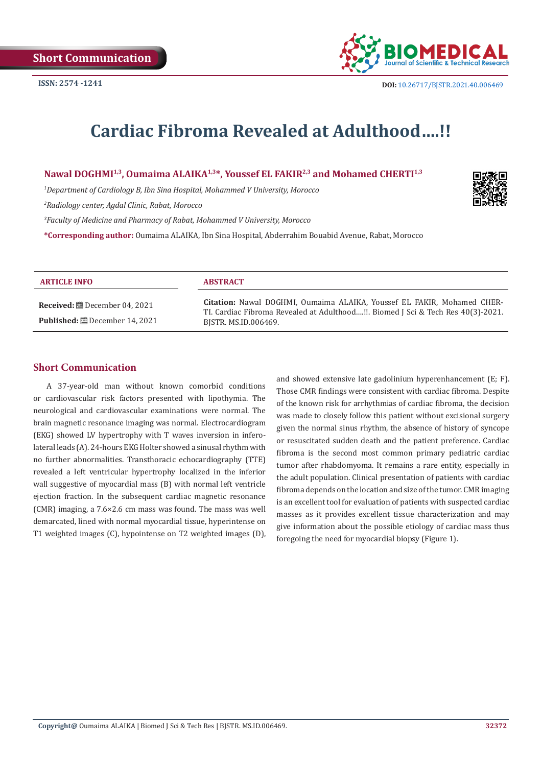

# **Cardiac Fibroma Revealed at Adulthood….!!**

## Nawal DOGHMI<sup>1,3</sup>, Oumaima ALAIKA<sup>1,3\*</sup>, Youssef EL FAKIR<sup>2,3</sup> and Mohamed CHERTI<sup>1,3</sup>

*1 Department of Cardiology B, Ibn Sina Hospital, Mohammed V University, Morocco*

*2 Radiology center, Agdal Clinic, Rabat, Morocco*

*3 Faculty of Medicine and Pharmacy of Rabat, Mohammed V University, Morocco*

**\*Corresponding author:** Oumaima ALAIKA, Ibn Sina Hospital, Abderrahim Bouabid Avenue, Rabat, Morocco

| <b>ARTICLE INFO</b>                   | <b>ABSTRACT</b>                                                                                                                                                                     |
|---------------------------------------|-------------------------------------------------------------------------------------------------------------------------------------------------------------------------------------|
| <b>Published:</b> ■ December 14, 2021 | Citation: Nawal DOGHMI, Oumaima ALAIKA, Youssef EL FAKIR, Mohamed CHER-<br>TI. Cardiac Fibroma Revealed at Adulthood!!. Biomed J Sci & Tech Res 40(3)-2021.<br>BISTR. MS.ID.006469. |
|                                       |                                                                                                                                                                                     |

#### **Short Communication**

A 37-year-old man without known comorbid conditions or cardiovascular risk factors presented with lipothymia. The neurological and cardiovascular examinations were normal. The brain magnetic resonance imaging was normal. Electrocardiogram (EKG) showed LV hypertrophy with T waves inversion in inferolateral leads (A). 24-hours EKG Holter showed a sinusal rhythm with no further abnormalities. Transthoracic echocardiography (TTE) revealed a left ventricular hypertrophy localized in the inferior wall suggestive of myocardial mass (B) with normal left ventricle ejection fraction. In the subsequent cardiac magnetic resonance (CMR) imaging, a 7.6×2.6 cm mass was found. The mass was well demarcated, lined with normal myocardial tissue, hyperintense on T1 weighted images (C), hypointense on T2 weighted images (D), and showed extensive late gadolinium hyperenhancement (E; F). Those CMR findings were consistent with cardiac fibroma. Despite of the known risk for arrhythmias of cardiac fibroma, the decision was made to closely follow this patient without excisional surgery given the normal sinus rhythm, the absence of history of syncope or resuscitated sudden death and the patient preference. Cardiac fibroma is the second most common primary pediatric cardiac tumor after rhabdomyoma. It remains a rare entity, especially in the adult population. Clinical presentation of patients with cardiac fibroma depends on the location and size of the tumor. CMR imaging is an excellent tool for evaluation of patients with suspected cardiac masses as it provides excellent tissue characterization and may give information about the possible etiology of cardiac mass thus foregoing the need for myocardial biopsy (Figure 1).